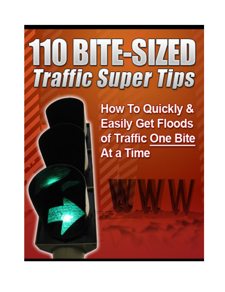# 2008068740 **Traffic Super Tips**

**How To Quickly & Easily Get Floods** of Traffic One Bite At a Time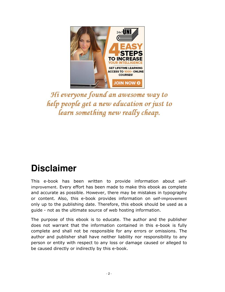

Hi everyone found an awesome way to help people get a new education or just to learn something new really cheap.

## **Disclaimer**

This e-book has been written to provide information about selfimprovement. Every effort has been made to make this ebook as complete and accurate as possible. However, there may be mistakes in typography or content. Also, this e-book provides information on self-improvement only up to the publishing date. Therefore, this ebook should be used as a guide - not as the ultimate source of web hosting information.

The purpose of this ebook is to educate. The author and the publisher does not warrant that the information contained in this e-book is fully complete and shall not be responsible for any errors or omissions. The author and publisher shall have neither liability nor responsibility to any person or entity with respect to any loss or damage caused or alleged to be caused directly or indirectly by this e-book.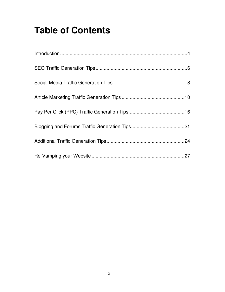## **Table of Contents**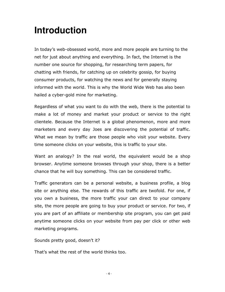## **Introduction**

In today's web-obsessed world, more and more people are turning to the net for just about anything and everything. In fact, the Internet is the number one source for shopping, for researching term papers, for chatting with friends, for catching up on celebrity gossip, for buying consumer products, for watching the news and for generally staying informed with the world. This is why the World Wide Web has also been hailed a cyber-gold mine for marketing.

Regardless of what you want to do with the web, there is the potential to make a lot of money and market your product or service to the right clientele. Because the Internet is a global phenomenon, more and more marketers and every day Joes are discovering the potential of traffic. What we mean by traffic are those people who visit your website. Every time someone clicks on your website, this is traffic to your site.

Want an analogy? In the real world, the equivalent would be a shop browser. Anytime someone browses through your shop, there is a better chance that he will buy something. This can be considered traffic.

Traffic generators can be a personal website, a business profile, a blog site or anything else. The rewards of this traffic are twofold. For one, if you own a business, the more traffic your can direct to your company site, the more people are going to buy your product or service. For two, if you are part of an affiliate or membership site program, you can get paid anytime someone clicks on your website from pay per click or other web marketing programs.

Sounds pretty good, doesn't it?

That's what the rest of the world thinks too.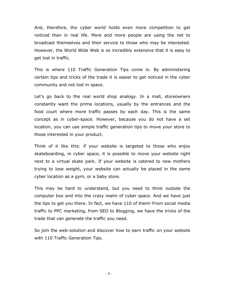And, therefore, the cyber world holds even more competition to get noticed than in real life. More and more people are using the net to broadcast themselves and their service to those who may be interested. However, the World Wide Web is so incredibly extensive that it is easy to get lost in traffic.

This is where 110 Traffic Generation Tips come in. By administering certain tips and tricks of the trade it is easier to get noticed in the cyber community and not lost in space.

Let's go back to the real world shop analogy. In a mall, storeowners constantly want the prime locations, usually by the entrances and the food court where more traffic passes by each day. This is the same concept as in cyber-space. However, because you do not have a set location, you can use simple traffic generation tips to move your store to those interested in your product.

Think of it like this: if your website is targeted to those who enjoy skateboarding, in cyber space, it is possible to move your website right next to a virtual skate park. If your website is catered to new mothers trying to lose weight, your website can actually be placed in the same cyber location as a gym, or a baby store.

This may be hard to understand, but you need to think outside the computer box and into the crazy realm of cyber space. And we have just the tips to get you there. In fact, we have 110 of them! From social media traffic to PPC marketing, from SEO to Blogging, we have the tricks of the trade that can generate the traffic you need.

So join the web-solution and discover how to earn traffic on your website with 110 Traffic Generation Tips.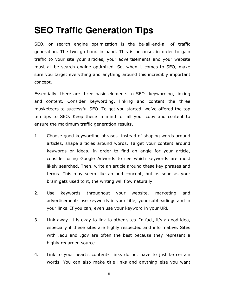## **SEO Traffic Generation Tips**

SEO, or search engine optimization is the be-all-end-all of traffic generation. The two go hand in hand. This is because, in order to gain traffic to your site your articles, your advertisements and your website must all be search engine optimized. So, when it comes to SEO, make sure you target everything and anything around this incredibly important concept.

Essentially, there are three basic elements to SEO- keywording, linking and content. Consider keywording, linking and content the three musketeers to successful SEO. To get you started, we've offered the top ten tips to SEO. Keep these in mind for all your copy and content to ensure the maximum traffic generation results.

- 1. Choose good keywording phrases- instead of shaping words around articles, shape articles around words. Target your content around keywords or ideas. In order to find an angle for your article, consider using Google Adwords to see which keywords are most likely searched. Then, write an article around these key phrases and terms. This may seem like an odd concept, but as soon as your brain gets used to it, the writing will flow naturally.
- 2. Use keywords throughout your website, marketing and advertisement- use keywords in your title, your subheadings and in your links. If you can, even use your keyword in your URL.
- 3. Link away- it is okay to link to other sites. In fact, it's a good idea, especially if these sites are highly respected and informative. Sites with .edu and .gov are often the best because they represent a highly regarded source.
- 4. Link to your heart's content- Links do not have to just be certain words. You can also make title links and anything else you want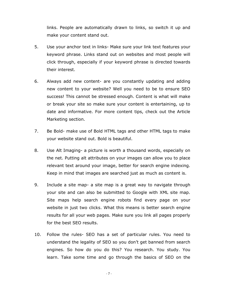links. People are automatically drawn to links, so switch it up and make your content stand out.

- 5. Use your anchor text in links- Make sure your link text features your keyword phrase. Links stand out on websites and most people will click through, especially if your keyword phrase is directed towards their interest.
- 6. Always add new content- are you constantly updating and adding new content to your website? Well you need to be to ensure SEO success! This cannot be stressed enough. Content is what will make or break your site so make sure your content is entertaining, up to date and informative. For more content tips, check out the Article Marketing section.
- 7. Be Bold- make use of Bold HTML tags and other HTML tags to make your website stand out. Bold is beautiful.
- 8. Use Alt Imaging- a picture is worth a thousand words, especially on the net. Putting alt attributes on your images can allow you to place relevant text around your image, better for search engine indexing. Keep in mind that images are searched just as much as content is.
- 9. Include a site map- a site map is a great way to navigate through your site and can also be submitted to Google with XML site map. Site maps help search engine robots find every page on your website in just two clicks. What this means is better search engine results for all your web pages. Make sure you link all pages properly for the best SEO results.
- 10. Follow the rules- SEO has a set of particular rules. You need to understand the legality of SEO so you don't get banned from search engines. So how do you do this? You research. You study. You learn. Take some time and go through the basics of SEO on the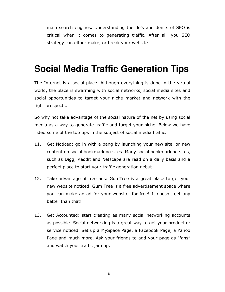main search engines. Understanding the do's and don'ts of SEO is critical when it comes to generating traffic. After all, you SEO strategy can either make, or break your website.

#### **Social Media Traffic Generation Tips**

The Internet is a social place. Although everything is done in the virtual world, the place is swarming with social networks, social media sites and social opportunities to target your niche market and network with the right prospects.

So why not take advantage of the social nature of the net by using social media as a way to generate traffic and target your niche. Below we have listed some of the top tips in the subject of social media traffic.

- 11. Get Noticed: go in with a bang by launching your new site, or new content on social bookmarking sites. Many social bookmarking sites, such as Digg, Reddit and Netscape are read on a daily basis and a perfect place to start your traffic generation debut.
- 12. Take advantage of free ads: GumTree is a great place to get your new website noticed. Gum Tree is a free advertisement space where you can make an ad for your website, for free! It doesn't get any better than that!
- 13. Get Accounted: start creating as many social networking accounts as possible. Social networking is a great way to get your product or service noticed. Set up a MySpace Page, a Facebook Page, a Yahoo Page and much more. Ask your friends to add your page as "fans" and watch your traffic jam up.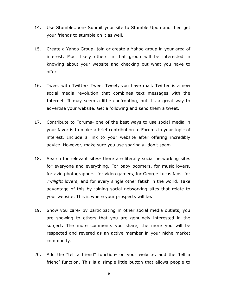- 14. Use StumbleUpon- Submit your site to Stumble Upon and then get your friends to stumble on it as well.
- 15. Create a Yahoo Group- join or create a Yahoo group in your area of interest. Most likely others in that group will be interested in knowing about your website and checking out what you have to offer.
- 16. Tweet with Twitter- Tweet Tweet, you have mail. Twitter is a new social media revolution that combines text messages with the Internet. It may seem a little confronting, but it's a great way to advertise your website. Get a following and send them a tweet.
- 17. Contribute to Forums- one of the best ways to use social media in your favor is to make a brief contribution to Forums in your topic of interest. Include a link to your website after offering incredibly advice. However, make sure you use sparingly- don't spam.
- 18. Search for relevant sites- there are literally social networking sites for everyone and everything. For baby boomers, for music lovers, for avid photographers, for video gamers, for George Lucas fans, for Twilight lovers, and for every single other fetish in the world. Take advantage of this by joining social networking sites that relate to your website. This is where your prospects will be.
- 19. Show you care- by participating in other social media outlets, you are showing to others that you are genuinely interested in the subject. The more comments you share, the more you will be respected and revered as an active member in your niche market community.
- 20. Add the "tell a friend" function- on your website, add the 'tell a friend' function. This is a simple little button that allows people to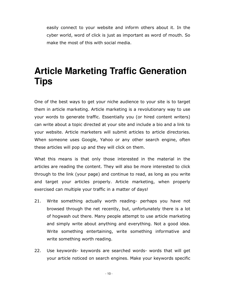easily connect to your website and inform others about it. In the cyber world, word of click is just as important as word of mouth. So make the most of this with social media.

### **Article Marketing Traffic Generation Tips**

One of the best ways to get your niche audience to your site is to target them in article marketing. Article marketing is a revolutionary way to use your words to generate traffic. Essentially you (or hired content writers) can write about a topic directed at your site and include a bio and a link to your website. Article marketers will submit articles to article directories. When someone uses Google, Yahoo or any other search engine, often these articles will pop up and they will click on them.

What this means is that only those interested in the material in the articles are reading the content. They will also be more interested to click through to the link (your page) and continue to read, as long as you write and target your articles properly. Article marketing, when properly exercised can multiple your traffic in a matter of days!

- 21. Write something actually worth reading- perhaps you have not browsed through the net recently, but, unfortunately there is a lot of hogwash out there. Many people attempt to use article marketing and simply write about anything and everything. Not a good idea. Write something entertaining, write something informative and write something worth reading.
- 22. Use keywords- keywords are searched words- words that will get your article noticed on search engines. Make your keywords specific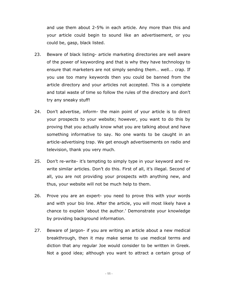and use them about 2-5% in each article. Any more than this and your article could begin to sound like an advertisement, or you could be, gasp, black listed.

- 23. Beware of black listing- article marketing directories are well aware of the power of keywording and that is why they have technology to ensure that marketers are not simply sending them… well... crap. If you use too many keywords then you could be banned from the article directory and your articles not accepted. This is a complete and total waste of time so follow the rules of the directory and don't try any sneaky stuff!
- 24. Don't advertise, inform- the main point of your article is to direct your prospects to your website; however, you want to do this by proving that you actually know what you are talking about and have something informative to say. No one wants to be caught in an article-advertising trap. We get enough advertisements on radio and television, thank you very much.
- 25. Don't re-write- it's tempting to simply type in your keyword and rewrite similar articles. Don't do this. First of all, it's illegal. Second of all, you are not providing your prospects with anything new, and thus, your website will not be much help to them.
- 26. Prove you are an expert- you need to prove this with your words and with your bio line. After the article, you will most likely have a chance to explain 'about the author.' Demonstrate your knowledge by providing background information.
- 27. Beware of jargon- if you are writing an article about a new medical breakthrough, then it may make sense to use medical terms and diction that any regular Joe would consider to be written in Greek. Not a good idea; although you want to attract a certain group of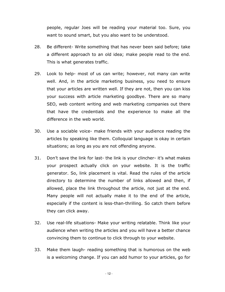people, regular Joes will be reading your material too. Sure, you want to sound smart, but you also want to be understood.

- 28. Be different- Write something that has never been said before; take a different approach to an old idea; make people read to the end. This is what generates traffic.
- 29. Look to help- most of us can write; however, not many can write well. And, in the article marketing business, you need to ensure that your articles are written well. If they are not, then you can kiss your success with article marketing goodbye. There are so many SEO, web content writing and web marketing companies out there that have the credentials and the experience to make all the difference in the web world.
- 30. Use a sociable voice- make friends with your audience reading the articles by speaking like them. Colloquial language is okay in certain situations; as long as you are not offending anyone.
- 31. Don't save the link for last- the link is your clincher- it's what makes your prospect actually click on your website. It is the traffic generator. So, link placement is vital. Read the rules of the article directory to determine the number of links allowed and then, if allowed, place the link throughout the article, not just at the end. Many people will not actually make it to the end of the article, especially if the content is less-than-thrilling. So catch them before they can click away.
- 32. Use real-life situations- Make your writing relatable. Think like your audience when writing the articles and you will have a better chance convincing them to continue to click through to your website.
- 33. Make them laugh- reading something that is humorous on the web is a welcoming change. If you can add humor to your articles, go for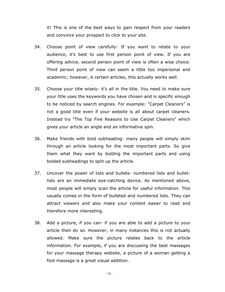it! This is one of the best ways to gain respect from your readers and convince your prospect to click to your site.

- 34. Choose point of view carefully- If you want to relate to your audience, it's best to use first person point of view. If you are offering advice, second person point of view is often a wise choice. Third person point of view can seem a little too impersonal and academic; however, it certain articles, this actually works well.
- 35. Choose your title wisely- it's all in the title. You need to make sure your title uses the keywords you have chosen and is specific enough to be noticed by search engines. For example: "Carpet Cleaners" is not a good title even if your website is all about carpet cleaners. Instead try "The Top Five Reasons to Use Carpet Cleaners" which gives your article an angle and an informative spin.
- 36. Make friends with bold subheading- many people will simply skim through an article looking for the most important parts. So give them what they want by bolding the important parts and using bolded subheadings to split up the article.
- 37. Uncover the power of lists and bullets- numbered lists and bulletlists are an immediate eye-catching device. As mentioned above, most people will simply scan the article for useful information. This usually comes in the form of bulleted and numbered lists. They can attract viewers and also make your content easier to read and therefore more interesting.
- 38. Add a picture, if you can- if you are able to add a picture to your article then do so. However, in many instances this is not actually allowed. Make sure the picture relates back to the article information. For example, if you are discussing the best massages for your massage therapy website, a picture of a woman getting a foot massage is a great visual addition.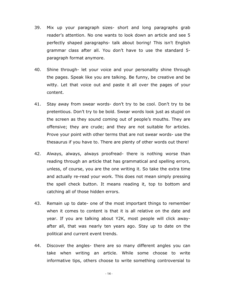- 39. Mix up your paragraph sizes- short and long paragraphs grab reader's attention. No one wants to look down an article and see 5 perfectly shaped paragraphs- talk about boring! This isn't English grammar class after all. You don't have to use the standard 5 paragraph format anymore.
- 40. Shine through- let your voice and your personality shine through the pages. Speak like you are talking. Be funny, be creative and be witty. Let that voice out and paste it all over the pages of your content.
- 41. Stay away from swear words- don't try to be cool. Don't try to be pretentious. Don't try to be bold. Swear words look just as stupid on the screen as they sound coming out of people's mouths. They are offensive; they are crude; and they are not suitable for articles. Prove your point with other terms that are not swear words- use the thesaurus if you have to. There are plenty of other words out there!
- 42. Always, always, always proofread- there is nothing worse than reading through an article that has grammatical and spelling errors, unless, of course, you are the one writing it. So take the extra time and actually re-read your work. This does not mean simply pressing the spell check button. It means reading it, top to bottom and catching all of those hidden errors.
- 43. Remain up to date- one of the most important things to remember when it comes to content is that it is all relative on the date and year. If you are talking about Y2K, most people will click awayafter all, that was nearly ten years ago. Stay up to date on the political and current event trends.
- 44. Discover the angles- there are so many different angles you can take when writing an article. While some choose to write informative tips, others choose to write something controversial to

- 14 -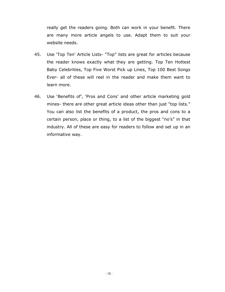really get the readers going. Both can work in your benefit. There are many more article angels to use. Adapt them to suit your website needs.

- 45. Use 'Top Ten' Article Lists- "Top" lists are great for articles because the reader knows exactly what they are getting. Top Ten Hottest Baby Celebrities, Top Five Worst Pick up Lines, Top 100 Best Songs Ever- all of these will reel in the reader and make them want to learn more.
- 46. Use 'Benefits of', 'Pros and Cons' and other article marketing gold mines- there are other great article ideas other than just "top lists." You can also list the benefits of a product, the pros and cons to a certain person, place or thing, to a list of the biggest "no's" in that industry. All of these are easy for readers to follow and set up in an informative way.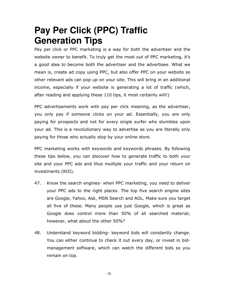### **Pay Per Click (PPC) Traffic Generation Tips**

Pay per click or PPC marketing is a way for both the advertiser and the website owner to benefit. To truly get the most out of PPC marketing, it's a good idea to become both the advertiser and the advertisee. What we mean is, create ad copy using PPC, but also offer PPC on your website so other relevant ads can pop up on your site. This will bring in an additional income, especially if your website is generating a lot of traffic (which, after reading and applying these 110 tips, it most certainly will!)

PPC advertisements work with pay per click meaning, as the advertiser, you only pay if someone clicks on your ad. Essentially, you are only paying for prospects and not for every single surfer who stumbles upon your ad. This is a revolutionary way to advertise as you are literally only paying for those who actually stop by your online store.

PPC marketing works with keywords and keywords phrases. By following these tips below, you can discover how to generate traffic to both your site and your PPC ads and thus multiple your traffic and your return on investments (ROI).

- 47. Know the search engines- when PPC marketing, you need to deliver your PPC ads to the right places. The top five search engine sites are Google, Yahoo, Ask, MSN Search and AOL. Make sure you target all five of these. Many people use just Google, which is great as Google does control more than 50% of all searched material; however, what about the other 50%?
- 48. Understand keyword bidding- keyword bids will constantly change. You can either continue to check it out every day, or invest in bidmanagement software, which can watch the different bids so you remain on top.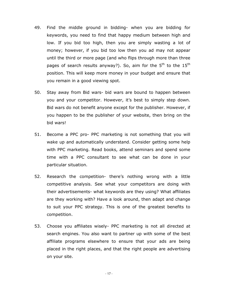- 49. Find the middle ground in bidding- when you are bidding for keywords, you need to find that happy medium between high and low. If you bid too high, then you are simply wasting a lot of money; however, if you bid too low then you ad may not appear until the third or more page (and who flips through more than three pages of search results anyway?). So, aim for the  $5<sup>th</sup>$  to the  $15<sup>th</sup>$ position. This will keep more money in your budget and ensure that you remain in a good viewing spot.
- 50. Stay away from Bid wars- bid wars are bound to happen between you and your competitor. However, it's best to simply step down. Bid wars do not benefit anyone except for the publisher. However, if you happen to be the publisher of your website, then bring on the bid wars!
- 51. Become a PPC pro- PPC marketing is not something that you will wake up and automatically understand. Consider getting some help with PPC marketing. Read books, attend seminars and spend some time with a PPC consultant to see what can be done in your particular situation.
- 52. Research the competition- there's nothing wrong with a little competitive analysis. See what your competitors are doing with their advertisements- what keywords are they using? What affiliates are they working with? Have a look around, then adapt and change to suit your PPC strategy. This is one of the greatest benefits to competition.
- 53. Choose you affiliates wisely- PPC marketing is not all directed at search engines. You also want to partner up with some of the best affiliate programs elsewhere to ensure that your ads are being placed in the right places, and that the right people are advertising on your site.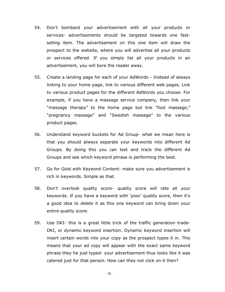- 54. Don't bombard your advertisement with all your products or services- advertisements should be targeted towards one fastselling item. The advertisement on this one item will draw the prospect to the website, where you will advertise all your products or services offered. If you simply list all your products in an advertisement, you will bore the reader away.
- 55. Create a landing page for each of your AdWords Instead of always linking to your home page, link to various different web pages. Link to various product pages for the different AdWords you choose. For example, if you have a massage service company, then link your "massage therapy" to the home page but link "foot massage," "pregnancy massage" and "Swedish massage" to the various product pages.
- 56. Understand keyword buckets for Ad Group- what we mean here is that you should always separate your keywords into different Ad Groups. By doing this you can test and track the different Ad Groups and see which keyword phrase is performing the best.
- 57. Go for Gold with Keyword Content- make sure you advertisement is rich in keywords. Simple as that.
- 58. Don't overlook quality score- quality score will rate all your keywords. If you have a keyword with 'poor' quality score, then it's a good idea to delete it as this one keyword can bring down your entire quality score.
- 59. Use DKI- this is a great little trick of the traffic generation trade-DKI, or dynamic keyword insertion. Dynamic keyword insertion will insert certain words into your copy as the prospect types it in. This means that your ad copy will appear with the exact same keyword phrase they he just typed- your advertisement thus looks like it was catered just for that person. How can they not click on it then?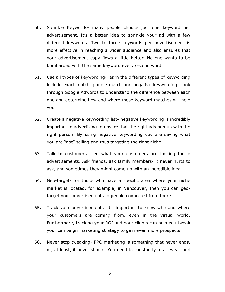- 60. Sprinkle Keywords- many people choose just one keyword per advertisement. It's a better idea to sprinkle your ad with a few different keywords. Two to three keywords per advertisement is more effective in reaching a wider audience and also ensures that your advertisement copy flows a little better. No one wants to be bombarded with the same keyword every second word.
- 61. Use all types of keywording- learn the different types of keywording include exact match, phrase match and negative keywording. Look through Google Adwords to understand the difference between each one and determine how and where these keyword matches will help you.
- 62. Create a negative keywording list- negative keywording is incredibly important in advertising to ensure that the right ads pop up with the right person. By using negative keywording you are saying what you are "not" selling and thus targeting the right niche.
- 63. Talk to customers- see what your customers are looking for in advertisements. Ask friends, ask family members- it never hurts to ask, and sometimes they might come up with an incredible idea.
- 64. Geo-target- for those who have a specific area where your niche market is located, for example, in Vancouver, then you can geotarget your advertisements to people connected from there.
- 65. Track your advertisements- it's important to know who and where your customers are coming from, even in the virtual world. Furthermore, tracking your ROI and your clients can help you tweak your campaign marketing strategy to gain even more prospects
- 66. Never stop tweaking- PPC marketing is something that never ends, or, at least, it never should. You need to constantly test, tweak and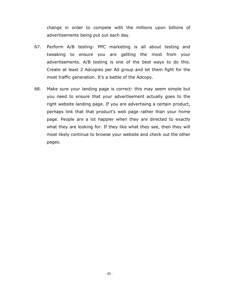change in order to compete with the millions upon billions of advertisements being put out each day.

- 67. Perform A/B testing- PPC marketing is all about testing and tweaking to ensure you are getting the most from your advertisements. A/B testing is one of the best ways to do this. Create at least 2 Adcopies per Ad group and let them fight for the most traffic generation. It's a battle of the Adcopy.
- 68. Make sure your landing page is correct- this may seem simple but you need to ensure that your advertisement actually goes to the right website landing page. If you are advertising a certain product, perhaps link that that product's web page rather than your home page. People are a lot happier when they are directed to exactly what they are looking for. If they like what they see, then they will most likely continue to browse your website and check out the other pages.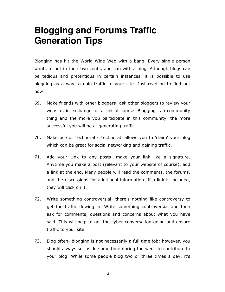#### **Blogging and Forums Traffic Generation Tips**

Blogging has hit the World Wide Web with a bang. Every single person wants to put in their two cents, and can with a blog. Although blogs can be tedious and pretentious in certain instances, it is possible to use blogging as a way to gain traffic to your site. Just read on to find out how:

- 69. Make friends with other bloggers- ask other bloggers to review your website, in exchange for a link of course. Blogging is a community thing and the more you participate in this community, the more successful you will be at generating traffic.
- 70. Make use of Technorati- Technorati allows you to 'claim' your blog which can be great for social networking and gaining traffic.
- 71. Add your Link to any posts- make your link like a signature. Anytime you make a post (relevant to your website of course), add a link at the end. Many people will read the comments, the forums, and the discussions for additional information. If a link is included, they will click on it.
- 72. Write something controversial- there's nothing like controversy to get the traffic flowing in. Write something controversial and then ask for comments, questions and concerns about what you have said. This will help to get the cyber conversation going and ensure traffic to your site.
- 73. Blog often- blogging is not necessarily a full time job; however, you should always set aside some time during the week to contribute to your blog. While some people blog two or three times a day, it's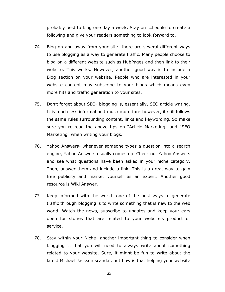probably best to blog one day a week. Stay on schedule to create a following and give your readers something to look forward to.

- 74. Blog on and away from your site- there are several different ways to use blogging as a way to generate traffic. Many people choose to blog on a different website such as HubPages and then link to their website. This works. However, another good way is to include a Blog section on your website. People who are interested in your website content may subscribe to your blogs which means even more hits and traffic generation to your sites.
- 75. Don't forget about SEO- blogging is, essentially, SEO article writing. It is much less informal and much more fun- however, it still follows the same rules surrounding content, links and keywording. So make sure you re-read the above tips on "Article Marketing" and "SEO Marketing" when writing your blogs.
- 76. Yahoo Answers- whenever someone types a question into a search engine, Yahoo Answers usually comes up. Check out Yahoo Answers and see what questions have been asked in your niche category. Then, answer them and include a link. This is a great way to gain free publicity and market yourself as an expert. Another good resource is Wiki Answer.
- 77. Keep informed with the world- one of the best ways to generate traffic through blogging is to write something that is new to the web world. Watch the news, subscribe to updates and keep your ears open for stories that are related to your website's product or service.
- 78. Stay within your Niche- another important thing to consider when blogging is that you will need to always write about something related to your website. Sure, it might be fun to write about the latest Michael Jackson scandal, but how is that helping your website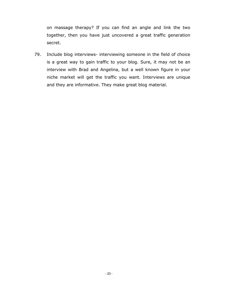on massage therapy? If you can find an angle and link the two together, then you have just uncovered a great traffic generation secret.

79. Include blog interviews- interviewing someone in the field of choice is a great way to gain traffic to your blog. Sure, it may not be an interview with Brad and Angelina, but a well known figure in your niche market will get the traffic you want. Interviews are unique and they are informative. They make great blog material.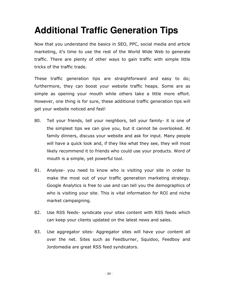## **Additional Traffic Generation Tips**

Now that you understand the basics in SEO, PPC, social media and article marketing, it's time to use the rest of the World Wide Web to generate traffic. There are plenty of other ways to gain traffic with simple little tricks of the traffic trade.

These traffic generation tips are straightforward and easy to do; furthermore, they can boost your website traffic heaps. Some are as simple as opening your mouth while others take a little more effort. However, one thing is for sure, these additional traffic generation tips will get your website noticed and fast!

- 80. Tell your friends, tell your neighbors, tell your family- it is one of the simplest tips we can give you, but it cannot be overlooked. At family dinners, discuss your website and ask for input. Many people will have a quick look and, if they like what they see, they will most likely recommend it to friends who could use your products. Word of mouth is a simple, yet powerful tool.
- 81. Analyse- you need to know who is visiting your site in order to make the most out of your traffic generation marketing strategy. Google Analytics is free to use and can tell you the demographics of who is visiting your site. This is vital information for ROI and niche market campaigning.
- 82. Use RSS feeds- syndicate your sites content with RSS feeds which can keep your clients updated on the latest news and sales.
- 83. Use aggregator sites- Aggregator sites will have your content all over the net. Sites such as Feedburner, Squidoo, Feedboy and Jordomedia are great RSS feed syndicators.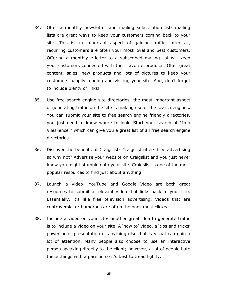- 84. Offer a monthly newsletter and mailing subscription list- mailing lists are great ways to keep your customers coming back to your site. This is an important aspect of gaining traffic- after all, recurring customers are often your most loyal and best customers. Offering a monthly e-letter to a subscribed mailing list will keep your customers connected with their favorite products. Offer great content, sales, new products and lots of pictures to keep your customers happily reading and visiting your site. And, don't forget to include plenty of links!
- 85. Use free search engine site directories- the most important aspect of generating traffic on the site is making use of the search engines. You can submit your site to free search engine friendly directories, you just need to know where to look. Start your search at "Info Vilesilencer" which can give you a great list of all free search engine directories.
- 86. Discover the benefits of Craigslist- Craigslist offers free advertising so why not? Advertise your website on Craigslist and you just never know you might stumble onto your site. Craigslist is one of the most popular resources to find just about anything.
- 87. Launch a video- YouTube and Google Video are both great resources to submit a relevant video that links back to your site. Essentially, it's like free television advertising. Videos that are controversial or humorous are often the ones most clicked.
- 88. Include a video on your site- another great idea to generate traffic is to include a video on your site. A 'how to' video, a 'tips and tricks' power point presentation or anything else that is visual can gain a lot of attention. Many people also choose to use an interactive person speaking directly to the client; however, a lot of people hate these things with a passion so it's best to tread lightly.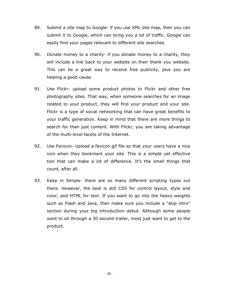- 89. Submit a site map to Google- if you use XML site map, then you can submit it to Google, which can bring you a lot of traffic. Google can easily find your pages relevant to different site searches.
- 90. Donate money to a charity- if you donate money to a charity, they will include a link back to your website on their thank you website. This can be a great way to receive free publicity, plus you are helping a good cause.
- 91. Use Flickr- upload some product photos to Flickr and other free photography sites. That way, when someone searches for an image related to your product, they will find your product and your site. Flickr is a type of social networking that can have great benefits to your traffic generation. Keep in mind that there are more things to search for than just content. With Flickr, you are taking advantage of the multi-level facets of the Internet.
- 92. Use Favicon- Upload a favicon.gif file so that your users have a nice icon when they bookmark your site. This is a simple yet effective tool that can make a lot of difference. It's the small things that count, after all.
- 93. Keep in Simple- there are so many different scripting types out there. However, the best is still CSS for control layout, style and color, and HTML for text. If you want to go into the heavy weights such as Flash and Java, then make sure you include a "skip intro" section during your big introduction debut. Although some people want to sit through a 30 second trailer, most just want to get to the product.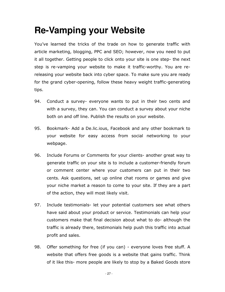## **Re-Vamping your Website**

You've learned the tricks of the trade on how to generate traffic with article marketing, blogging, PPC and SEO; however, now you need to put it all together. Getting people to click onto your site is one step- the next step is re-vamping your website to make it traffic-worthy. You are rereleasing your website back into cyber space. To make sure you are ready for the grand cyber-opening, follow these heavy weight traffic-generating tips.

- 94. Conduct a survey- everyone wants to put in their two cents and with a survey, they can. You can conduct a survey about your niche both on and off line. Publish the results on your website.
- 95. Bookmark- Add a De.lic.ious, Facebook and any other bookmark to your website for easy access from social networking to your webpage.
- 96. Include Forums or Comments for your clients- another great way to generate traffic on your site is to include a customer-friendly forum or comment center where your customers can put in their two cents. Ask questions, set up online chat rooms or games and give your niche market a reason to come to your site. If they are a part of the action, they will most likely visit.
- 97. Include testimonials- let your potential customers see what others have said about your product or service. Testimonials can help your customers make that final decision about what to do- although the traffic is already there, testimonials help push this traffic into actual profit and sales.
- 98. Offer something for free (if you can) everyone loves free stuff. A website that offers free goods is a website that gains traffic. Think of it like this- more people are likely to stop by a Baked Goods store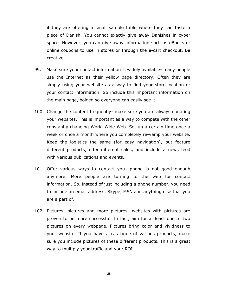if they are offering a small sample table where they can taste a piece of Danish. You cannot exactly give away Danishes in cyber space. However, you can give away information such as eBooks or online coupons to use in stores or through the e-cart checkout. Be creative.

- 99. Make sure your contact information is widely available- many people use the Internet as their yellow page directory. Often they are simply using your website as a way to find your store location or your contact information. So include this important information on the main page, bolded so everyone can easily see it.
- 100. Change the content frequently- make sure you are always updating your websites. This is important as a way to compete with the other constantly changing World Wide Web. Set up a certain time once a week or once a month where you completely re-vamp your website. Keep the logistics the same (for easy navigation), but feature different products, offer different sales, and include a news feed with various publications and events.
- 101. Offer various ways to contact you- phone is not good enough anymore. More people are turning to the web for contact information. So, instead of just including a phone number, you need to include an email address, Skype, MSN and anything else that you are a part of.
- 102. Pictures, pictures and more pictures- websites with pictures are proven to be more successful. In fact, aim for at least one to two pictures on every webpage. Pictures bring color and vividness to your website. If you have a catalogue of various products, make sure you include pictures of these different products. This is a great way to multiply your traffic and your ROI.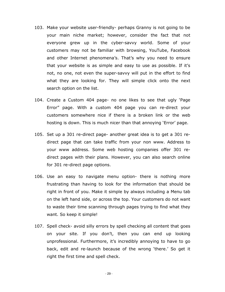- 103. Make your website user-friendly- perhaps Granny is not going to be your main niche market; however, consider the fact that not everyone grew up in the cyber-savvy world. Some of your customers may not be familiar with browsing, YouTube, Facebook and other Internet phenomena's. That's why you need to ensure that your website is as simple and easy to use as possible. If it's not, no one, not even the super-savvy will put in the effort to find what they are looking for. They will simple click onto the next search option on the list.
- 104. Create a Custom 404 page- no one likes to see that ugly 'Page Error" page. With a custom 404 page you can re-direct your customers somewhere nice if there is a broken link or the web hosting is down. This is much nicer than that annoying 'Error' page.
- 105. Set up a 301 re-direct page- another great idea is to get a 301 redirect page that can take traffic from your non www. Address to your www address. Some web hosting companies offer 301 redirect pages with their plans. However, you can also search online for 301 re-direct page options.
- 106. Use an easy to navigate menu option- there is nothing more frustrating than having to look for the information that should be right in front of you. Make it simple by always including a Menu tab on the left hand side, or across the top. Your customers do not want to waste their time scanning through pages trying to find what they want. So keep it simple!
- 107. Spell check- avoid silly errors by spell checking all content that goes on your site. If you don't, then you can end up looking unprofessional. Furthermore, it's incredibly annoying to have to go back, edit and re-launch because of the wrong 'there.' So get it right the first time and spell check.